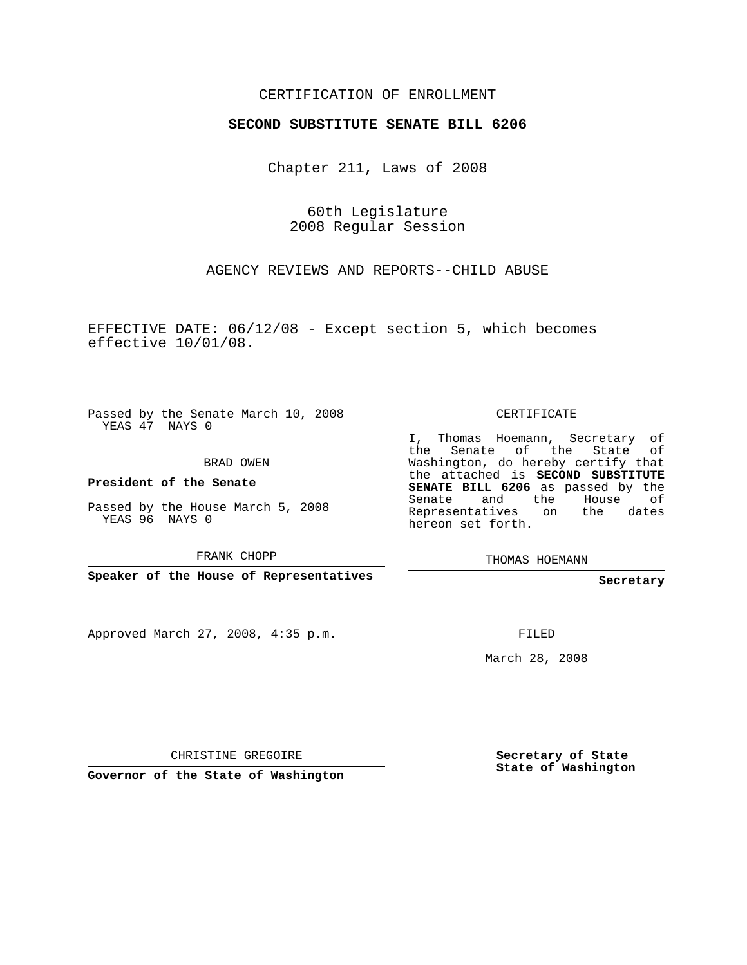## CERTIFICATION OF ENROLLMENT

## **SECOND SUBSTITUTE SENATE BILL 6206**

Chapter 211, Laws of 2008

60th Legislature 2008 Regular Session

AGENCY REVIEWS AND REPORTS--CHILD ABUSE

EFFECTIVE DATE: 06/12/08 - Except section 5, which becomes effective 10/01/08.

Passed by the Senate March 10, 2008 YEAS 47 NAYS 0

BRAD OWEN

**President of the Senate**

Passed by the House March 5, 2008 YEAS 96 NAYS 0

FRANK CHOPP

**Speaker of the House of Representatives**

Approved March 27, 2008, 4:35 p.m.

CERTIFICATE

I, Thomas Hoemann, Secretary of the Senate of the State of Washington, do hereby certify that the attached is **SECOND SUBSTITUTE SENATE BILL 6206** as passed by the Senate and the House of Representatives on the dates hereon set forth.

THOMAS HOEMANN

**Secretary**

FILED

March 28, 2008

CHRISTINE GREGOIRE

**Governor of the State of Washington**

**Secretary of State State of Washington**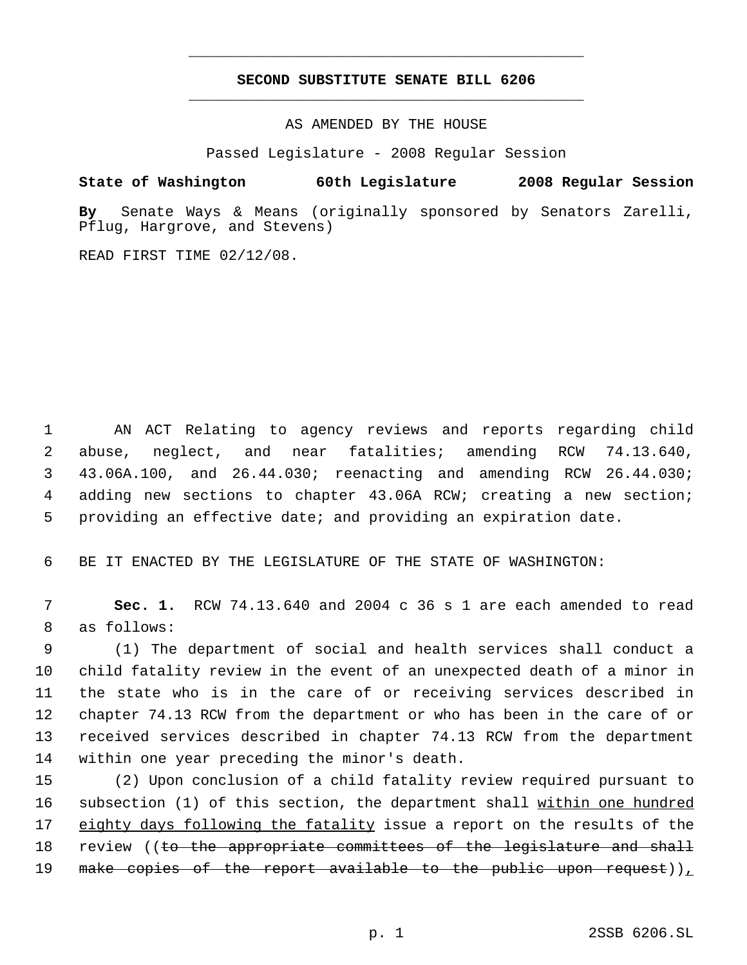## **SECOND SUBSTITUTE SENATE BILL 6206** \_\_\_\_\_\_\_\_\_\_\_\_\_\_\_\_\_\_\_\_\_\_\_\_\_\_\_\_\_\_\_\_\_\_\_\_\_\_\_\_\_\_\_\_\_

\_\_\_\_\_\_\_\_\_\_\_\_\_\_\_\_\_\_\_\_\_\_\_\_\_\_\_\_\_\_\_\_\_\_\_\_\_\_\_\_\_\_\_\_\_

AS AMENDED BY THE HOUSE

Passed Legislature - 2008 Regular Session

## **State of Washington 60th Legislature 2008 Regular Session**

**By** Senate Ways & Means (originally sponsored by Senators Zarelli, Pflug, Hargrove, and Stevens)

READ FIRST TIME 02/12/08.

 AN ACT Relating to agency reviews and reports regarding child abuse, neglect, and near fatalities; amending RCW 74.13.640, 43.06A.100, and 26.44.030; reenacting and amending RCW 26.44.030; adding new sections to chapter 43.06A RCW; creating a new section; providing an effective date; and providing an expiration date.

6 BE IT ENACTED BY THE LEGISLATURE OF THE STATE OF WASHINGTON:

 7 **Sec. 1.** RCW 74.13.640 and 2004 c 36 s 1 are each amended to read 8 as follows:

 (1) The department of social and health services shall conduct a child fatality review in the event of an unexpected death of a minor in the state who is in the care of or receiving services described in chapter 74.13 RCW from the department or who has been in the care of or received services described in chapter 74.13 RCW from the department within one year preceding the minor's death.

15 (2) Upon conclusion of a child fatality review required pursuant to 16 subsection (1) of this section, the department shall within one hundred 17 eighty days following the fatality issue a report on the results of the 18 review ((to the appropriate committees of the legislature and shall 19 make copies of the report available to the public upon request)),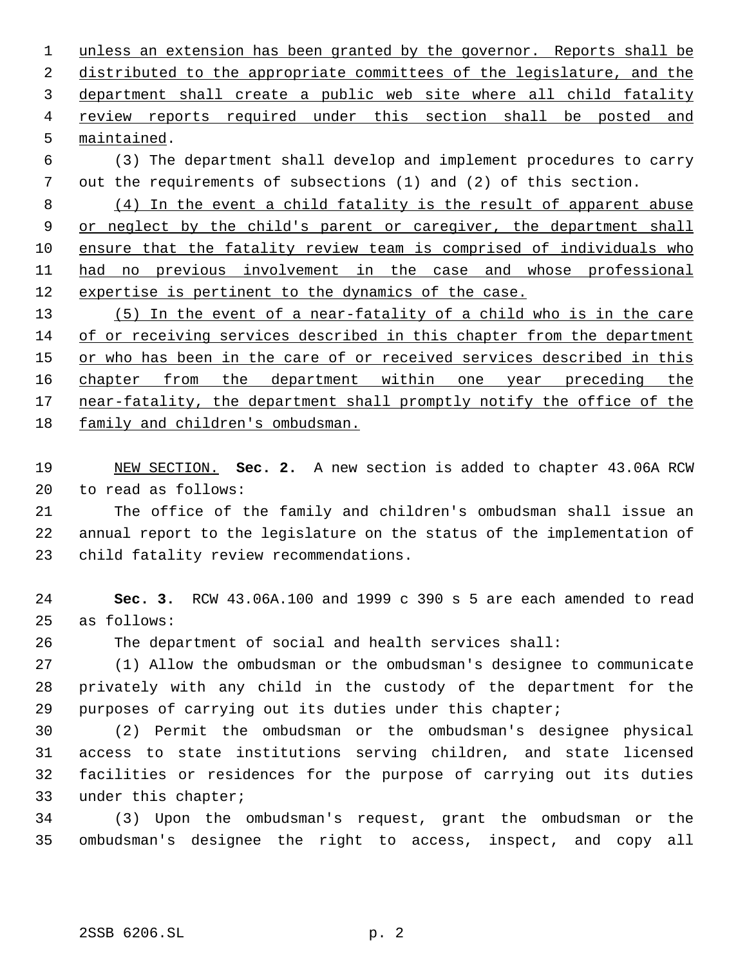unless an extension has been granted by the governor. Reports shall be 2 distributed to the appropriate committees of the legislature, and the department shall create a public web site where all child fatality review reports required under this section shall be posted and maintained.

 (3) The department shall develop and implement procedures to carry out the requirements of subsections (1) and (2) of this section.

 (4) In the event a child fatality is the result of apparent abuse 9 or neglect by the child's parent or caregiver, the department shall ensure that the fatality review team is comprised of individuals who had no previous involvement in the case and whose professional 12 expertise is pertinent to the dynamics of the case.

 (5) In the event of a near-fatality of a child who is in the care of or receiving services described in this chapter from the department 15 or who has been in the care of or received services described in this 16 chapter from the department within one year preceding the 17 near-fatality, the department shall promptly notify the office of the family and children's ombudsman.

 NEW SECTION. **Sec. 2.** A new section is added to chapter 43.06A RCW to read as follows:

 The office of the family and children's ombudsman shall issue an annual report to the legislature on the status of the implementation of child fatality review recommendations.

 **Sec. 3.** RCW 43.06A.100 and 1999 c 390 s 5 are each amended to read as follows:

The department of social and health services shall:

 (1) Allow the ombudsman or the ombudsman's designee to communicate privately with any child in the custody of the department for the purposes of carrying out its duties under this chapter;

 (2) Permit the ombudsman or the ombudsman's designee physical access to state institutions serving children, and state licensed facilities or residences for the purpose of carrying out its duties under this chapter;

 (3) Upon the ombudsman's request, grant the ombudsman or the ombudsman's designee the right to access, inspect, and copy all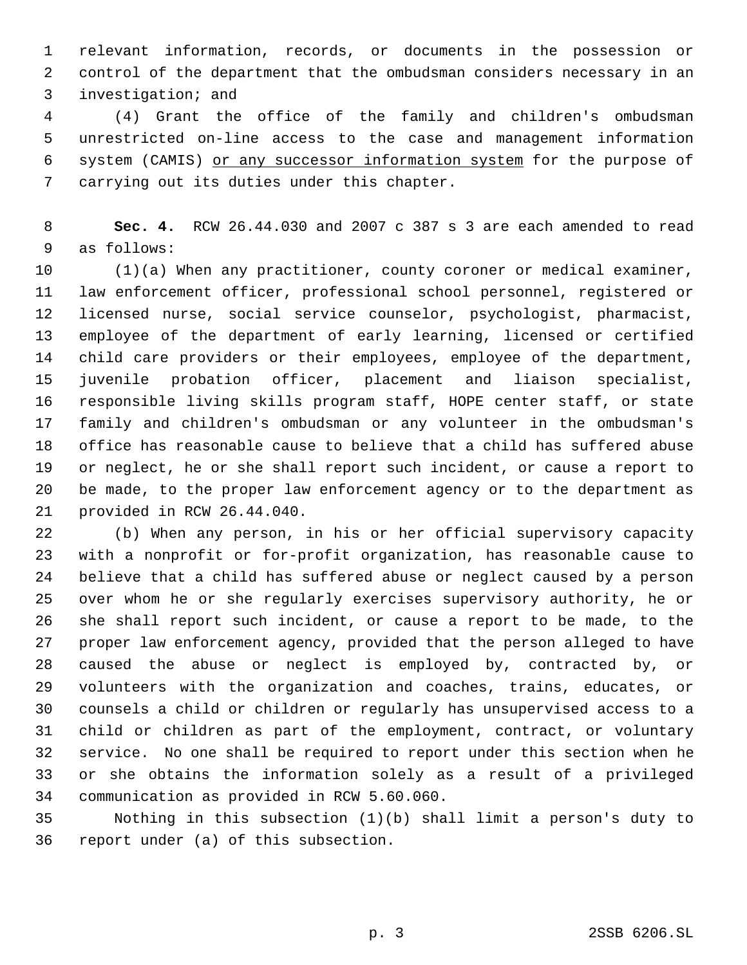relevant information, records, or documents in the possession or control of the department that the ombudsman considers necessary in an investigation; and

 (4) Grant the office of the family and children's ombudsman unrestricted on-line access to the case and management information system (CAMIS) or any successor information system for the purpose of carrying out its duties under this chapter.

 **Sec. 4.** RCW 26.44.030 and 2007 c 387 s 3 are each amended to read as follows:

 (1)(a) When any practitioner, county coroner or medical examiner, law enforcement officer, professional school personnel, registered or licensed nurse, social service counselor, psychologist, pharmacist, employee of the department of early learning, licensed or certified child care providers or their employees, employee of the department, juvenile probation officer, placement and liaison specialist, responsible living skills program staff, HOPE center staff, or state family and children's ombudsman or any volunteer in the ombudsman's office has reasonable cause to believe that a child has suffered abuse or neglect, he or she shall report such incident, or cause a report to be made, to the proper law enforcement agency or to the department as provided in RCW 26.44.040.

 (b) When any person, in his or her official supervisory capacity with a nonprofit or for-profit organization, has reasonable cause to believe that a child has suffered abuse or neglect caused by a person over whom he or she regularly exercises supervisory authority, he or she shall report such incident, or cause a report to be made, to the proper law enforcement agency, provided that the person alleged to have caused the abuse or neglect is employed by, contracted by, or volunteers with the organization and coaches, trains, educates, or counsels a child or children or regularly has unsupervised access to a child or children as part of the employment, contract, or voluntary service. No one shall be required to report under this section when he or she obtains the information solely as a result of a privileged communication as provided in RCW 5.60.060.

 Nothing in this subsection (1)(b) shall limit a person's duty to report under (a) of this subsection.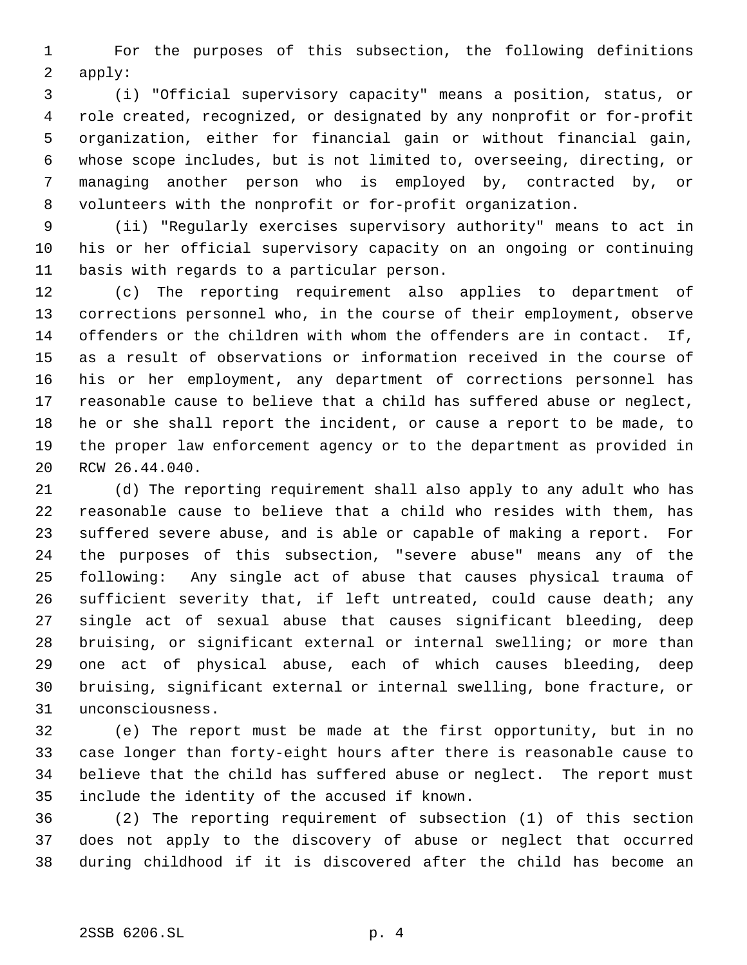For the purposes of this subsection, the following definitions apply:

 (i) "Official supervisory capacity" means a position, status, or role created, recognized, or designated by any nonprofit or for-profit organization, either for financial gain or without financial gain, whose scope includes, but is not limited to, overseeing, directing, or managing another person who is employed by, contracted by, or volunteers with the nonprofit or for-profit organization.

 (ii) "Regularly exercises supervisory authority" means to act in his or her official supervisory capacity on an ongoing or continuing basis with regards to a particular person.

 (c) The reporting requirement also applies to department of corrections personnel who, in the course of their employment, observe offenders or the children with whom the offenders are in contact. If, as a result of observations or information received in the course of his or her employment, any department of corrections personnel has reasonable cause to believe that a child has suffered abuse or neglect, he or she shall report the incident, or cause a report to be made, to the proper law enforcement agency or to the department as provided in RCW 26.44.040.

 (d) The reporting requirement shall also apply to any adult who has reasonable cause to believe that a child who resides with them, has suffered severe abuse, and is able or capable of making a report. For the purposes of this subsection, "severe abuse" means any of the following: Any single act of abuse that causes physical trauma of sufficient severity that, if left untreated, could cause death; any single act of sexual abuse that causes significant bleeding, deep bruising, or significant external or internal swelling; or more than one act of physical abuse, each of which causes bleeding, deep bruising, significant external or internal swelling, bone fracture, or unconsciousness.

 (e) The report must be made at the first opportunity, but in no case longer than forty-eight hours after there is reasonable cause to believe that the child has suffered abuse or neglect. The report must include the identity of the accused if known.

 (2) The reporting requirement of subsection (1) of this section does not apply to the discovery of abuse or neglect that occurred during childhood if it is discovered after the child has become an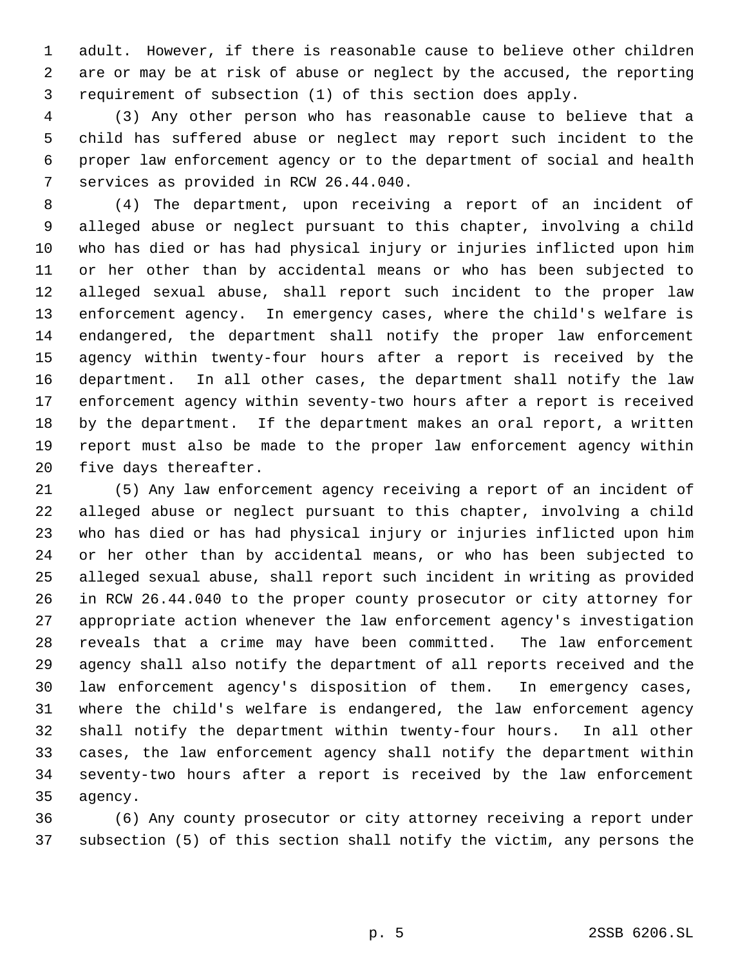adult. However, if there is reasonable cause to believe other children are or may be at risk of abuse or neglect by the accused, the reporting requirement of subsection (1) of this section does apply.

 (3) Any other person who has reasonable cause to believe that a child has suffered abuse or neglect may report such incident to the proper law enforcement agency or to the department of social and health services as provided in RCW 26.44.040.

 (4) The department, upon receiving a report of an incident of alleged abuse or neglect pursuant to this chapter, involving a child who has died or has had physical injury or injuries inflicted upon him or her other than by accidental means or who has been subjected to alleged sexual abuse, shall report such incident to the proper law enforcement agency. In emergency cases, where the child's welfare is endangered, the department shall notify the proper law enforcement agency within twenty-four hours after a report is received by the department. In all other cases, the department shall notify the law enforcement agency within seventy-two hours after a report is received by the department. If the department makes an oral report, a written report must also be made to the proper law enforcement agency within five days thereafter.

 (5) Any law enforcement agency receiving a report of an incident of alleged abuse or neglect pursuant to this chapter, involving a child who has died or has had physical injury or injuries inflicted upon him or her other than by accidental means, or who has been subjected to alleged sexual abuse, shall report such incident in writing as provided in RCW 26.44.040 to the proper county prosecutor or city attorney for appropriate action whenever the law enforcement agency's investigation reveals that a crime may have been committed. The law enforcement agency shall also notify the department of all reports received and the law enforcement agency's disposition of them. In emergency cases, where the child's welfare is endangered, the law enforcement agency shall notify the department within twenty-four hours. In all other cases, the law enforcement agency shall notify the department within seventy-two hours after a report is received by the law enforcement agency.

 (6) Any county prosecutor or city attorney receiving a report under subsection (5) of this section shall notify the victim, any persons the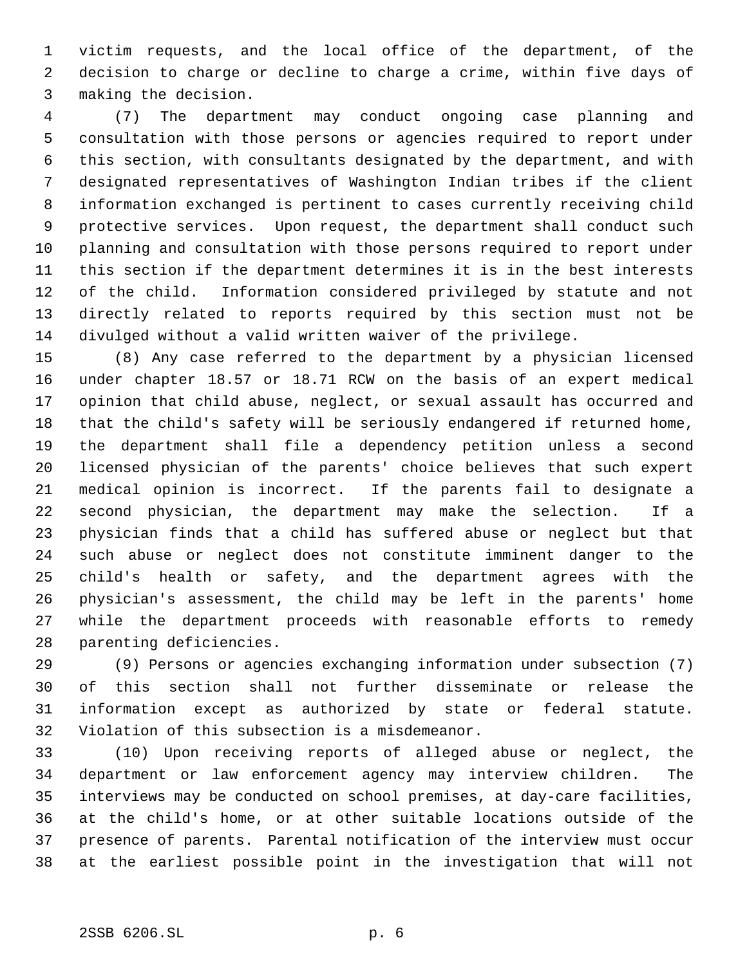victim requests, and the local office of the department, of the decision to charge or decline to charge a crime, within five days of making the decision.

 (7) The department may conduct ongoing case planning and consultation with those persons or agencies required to report under this section, with consultants designated by the department, and with designated representatives of Washington Indian tribes if the client information exchanged is pertinent to cases currently receiving child protective services. Upon request, the department shall conduct such planning and consultation with those persons required to report under this section if the department determines it is in the best interests of the child. Information considered privileged by statute and not directly related to reports required by this section must not be divulged without a valid written waiver of the privilege.

 (8) Any case referred to the department by a physician licensed under chapter 18.57 or 18.71 RCW on the basis of an expert medical opinion that child abuse, neglect, or sexual assault has occurred and that the child's safety will be seriously endangered if returned home, the department shall file a dependency petition unless a second licensed physician of the parents' choice believes that such expert medical opinion is incorrect. If the parents fail to designate a second physician, the department may make the selection. If a physician finds that a child has suffered abuse or neglect but that such abuse or neglect does not constitute imminent danger to the child's health or safety, and the department agrees with the physician's assessment, the child may be left in the parents' home while the department proceeds with reasonable efforts to remedy parenting deficiencies.

 (9) Persons or agencies exchanging information under subsection (7) of this section shall not further disseminate or release the information except as authorized by state or federal statute. Violation of this subsection is a misdemeanor.

 (10) Upon receiving reports of alleged abuse or neglect, the department or law enforcement agency may interview children. The interviews may be conducted on school premises, at day-care facilities, at the child's home, or at other suitable locations outside of the presence of parents. Parental notification of the interview must occur at the earliest possible point in the investigation that will not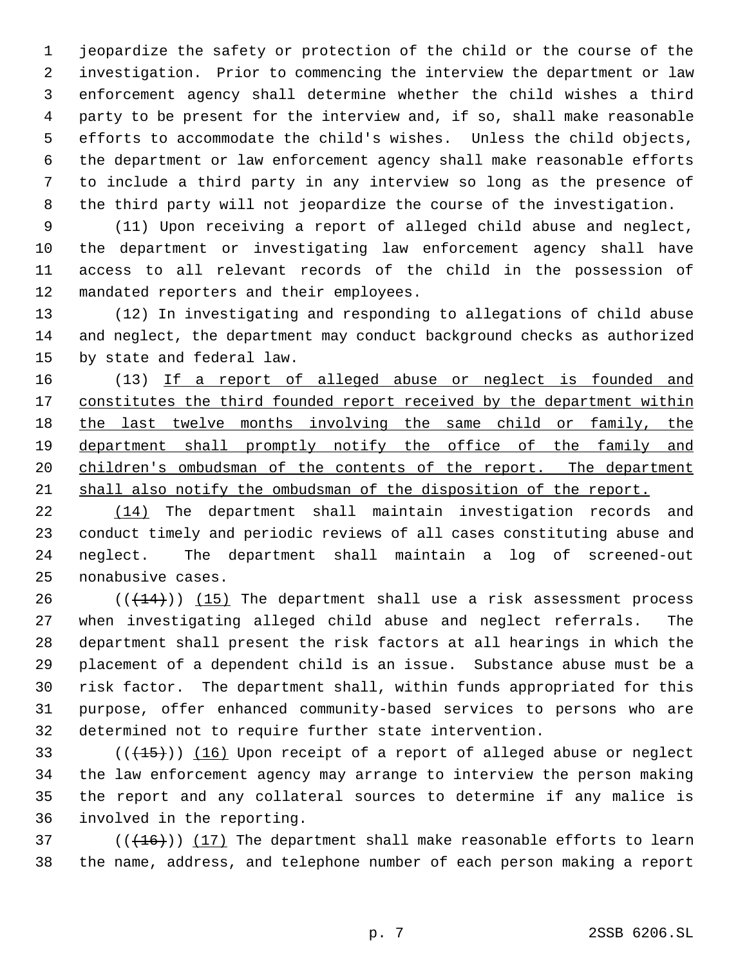jeopardize the safety or protection of the child or the course of the investigation. Prior to commencing the interview the department or law enforcement agency shall determine whether the child wishes a third party to be present for the interview and, if so, shall make reasonable efforts to accommodate the child's wishes. Unless the child objects, the department or law enforcement agency shall make reasonable efforts to include a third party in any interview so long as the presence of the third party will not jeopardize the course of the investigation.

 (11) Upon receiving a report of alleged child abuse and neglect, the department or investigating law enforcement agency shall have access to all relevant records of the child in the possession of mandated reporters and their employees.

 (12) In investigating and responding to allegations of child abuse and neglect, the department may conduct background checks as authorized by state and federal law.

16 (13) If a report of alleged abuse or neglect is founded and 17 constitutes the third founded report received by the department within 18 the last twelve months involving the same child or family, the department shall promptly notify the office of the family and 20 children's ombudsman of the contents of the report. The department shall also notify the ombudsman of the disposition of the report.

 (14) The department shall maintain investigation records and conduct timely and periodic reviews of all cases constituting abuse and neglect. The department shall maintain a log of screened-out nonabusive cases.

 $((+14))$   $(15)$  The department shall use a risk assessment process when investigating alleged child abuse and neglect referrals. The department shall present the risk factors at all hearings in which the placement of a dependent child is an issue. Substance abuse must be a risk factor. The department shall, within funds appropriated for this purpose, offer enhanced community-based services to persons who are determined not to require further state intervention.

 $((+15))$   $(16)$  Upon receipt of a report of alleged abuse or neglect the law enforcement agency may arrange to interview the person making the report and any collateral sources to determine if any malice is involved in the reporting.

 (( $(16)$ )) (17) The department shall make reasonable efforts to learn the name, address, and telephone number of each person making a report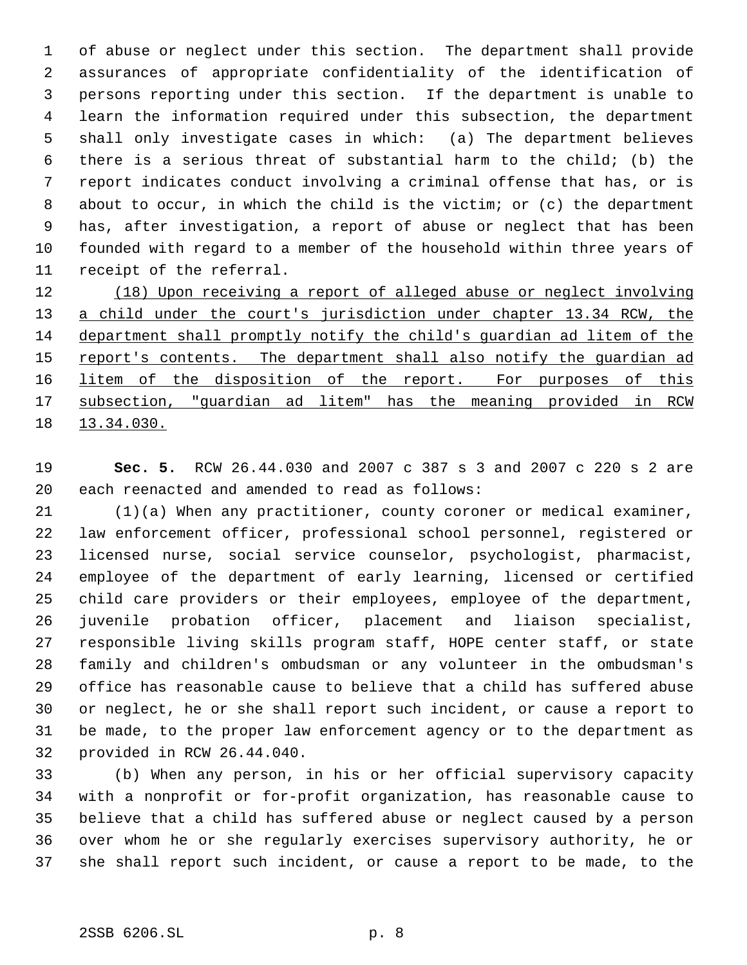of abuse or neglect under this section. The department shall provide assurances of appropriate confidentiality of the identification of persons reporting under this section. If the department is unable to learn the information required under this subsection, the department shall only investigate cases in which: (a) The department believes there is a serious threat of substantial harm to the child; (b) the report indicates conduct involving a criminal offense that has, or is 8 about to occur, in which the child is the victim; or (c) the department has, after investigation, a report of abuse or neglect that has been founded with regard to a member of the household within three years of receipt of the referral.

12 (18) Upon receiving a report of alleged abuse or neglect involving 13 a child under the court's jurisdiction under chapter 13.34 RCW, the department shall promptly notify the child's guardian ad litem of the 15 report's contents. The department shall also notify the guardian ad 16 litem of the disposition of the report. For purposes of this subsection, "guardian ad litem" has the meaning provided in RCW 13.34.030.

 **Sec. 5.** RCW 26.44.030 and 2007 c 387 s 3 and 2007 c 220 s 2 are each reenacted and amended to read as follows:

 (1)(a) When any practitioner, county coroner or medical examiner, law enforcement officer, professional school personnel, registered or licensed nurse, social service counselor, psychologist, pharmacist, employee of the department of early learning, licensed or certified child care providers or their employees, employee of the department, juvenile probation officer, placement and liaison specialist, responsible living skills program staff, HOPE center staff, or state family and children's ombudsman or any volunteer in the ombudsman's office has reasonable cause to believe that a child has suffered abuse or neglect, he or she shall report such incident, or cause a report to be made, to the proper law enforcement agency or to the department as provided in RCW 26.44.040.

 (b) When any person, in his or her official supervisory capacity with a nonprofit or for-profit organization, has reasonable cause to believe that a child has suffered abuse or neglect caused by a person over whom he or she regularly exercises supervisory authority, he or she shall report such incident, or cause a report to be made, to the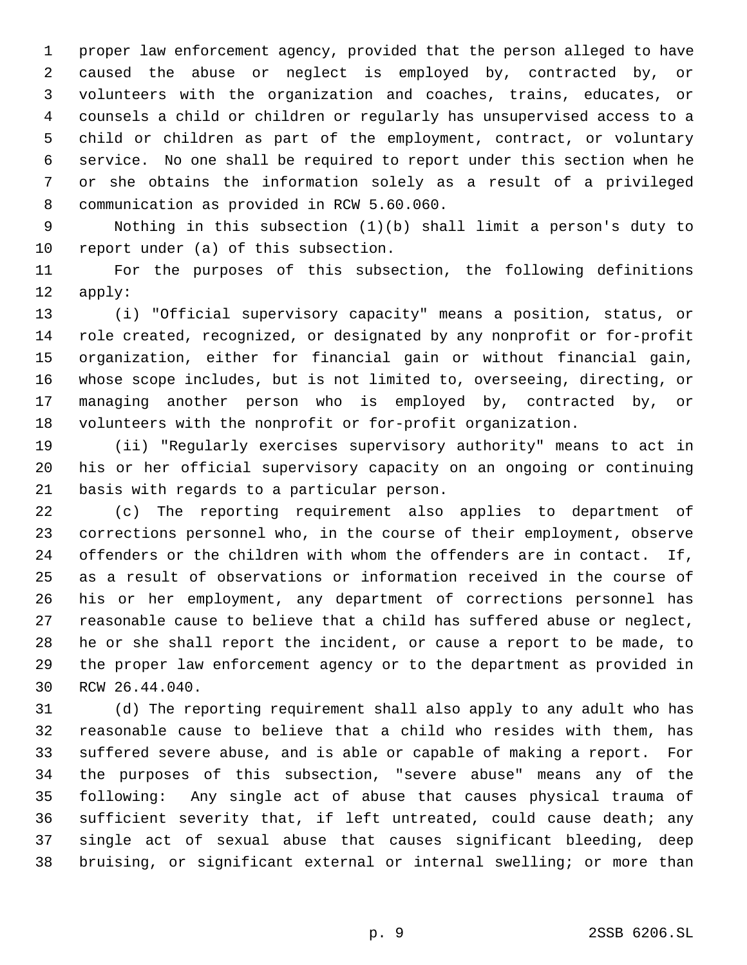proper law enforcement agency, provided that the person alleged to have caused the abuse or neglect is employed by, contracted by, or volunteers with the organization and coaches, trains, educates, or counsels a child or children or regularly has unsupervised access to a child or children as part of the employment, contract, or voluntary service. No one shall be required to report under this section when he or she obtains the information solely as a result of a privileged communication as provided in RCW 5.60.060.

 Nothing in this subsection (1)(b) shall limit a person's duty to report under (a) of this subsection.

 For the purposes of this subsection, the following definitions apply:

 (i) "Official supervisory capacity" means a position, status, or role created, recognized, or designated by any nonprofit or for-profit organization, either for financial gain or without financial gain, whose scope includes, but is not limited to, overseeing, directing, or managing another person who is employed by, contracted by, or volunteers with the nonprofit or for-profit organization.

 (ii) "Regularly exercises supervisory authority" means to act in his or her official supervisory capacity on an ongoing or continuing basis with regards to a particular person.

 (c) The reporting requirement also applies to department of corrections personnel who, in the course of their employment, observe offenders or the children with whom the offenders are in contact. If, as a result of observations or information received in the course of his or her employment, any department of corrections personnel has reasonable cause to believe that a child has suffered abuse or neglect, he or she shall report the incident, or cause a report to be made, to the proper law enforcement agency or to the department as provided in RCW 26.44.040.

 (d) The reporting requirement shall also apply to any adult who has reasonable cause to believe that a child who resides with them, has suffered severe abuse, and is able or capable of making a report. For the purposes of this subsection, "severe abuse" means any of the following: Any single act of abuse that causes physical trauma of sufficient severity that, if left untreated, could cause death; any single act of sexual abuse that causes significant bleeding, deep bruising, or significant external or internal swelling; or more than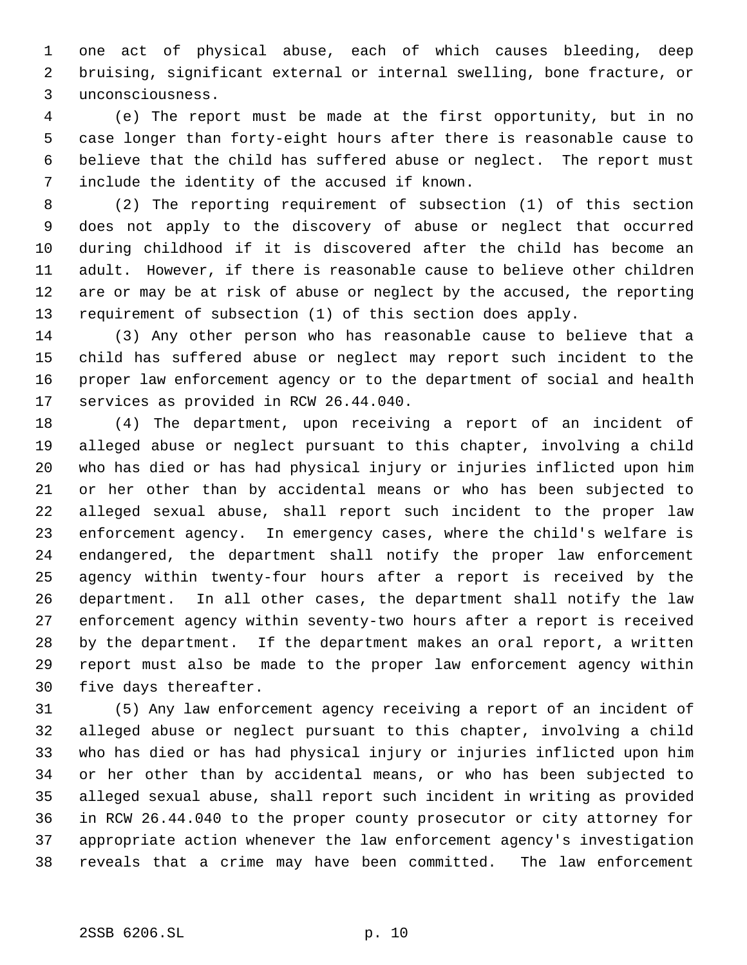one act of physical abuse, each of which causes bleeding, deep bruising, significant external or internal swelling, bone fracture, or unconsciousness.

 (e) The report must be made at the first opportunity, but in no case longer than forty-eight hours after there is reasonable cause to believe that the child has suffered abuse or neglect. The report must include the identity of the accused if known.

 (2) The reporting requirement of subsection (1) of this section does not apply to the discovery of abuse or neglect that occurred during childhood if it is discovered after the child has become an adult. However, if there is reasonable cause to believe other children are or may be at risk of abuse or neglect by the accused, the reporting requirement of subsection (1) of this section does apply.

 (3) Any other person who has reasonable cause to believe that a child has suffered abuse or neglect may report such incident to the proper law enforcement agency or to the department of social and health services as provided in RCW 26.44.040.

 (4) The department, upon receiving a report of an incident of alleged abuse or neglect pursuant to this chapter, involving a child who has died or has had physical injury or injuries inflicted upon him or her other than by accidental means or who has been subjected to alleged sexual abuse, shall report such incident to the proper law enforcement agency. In emergency cases, where the child's welfare is endangered, the department shall notify the proper law enforcement agency within twenty-four hours after a report is received by the department. In all other cases, the department shall notify the law enforcement agency within seventy-two hours after a report is received by the department. If the department makes an oral report, a written report must also be made to the proper law enforcement agency within five days thereafter.

 (5) Any law enforcement agency receiving a report of an incident of alleged abuse or neglect pursuant to this chapter, involving a child who has died or has had physical injury or injuries inflicted upon him or her other than by accidental means, or who has been subjected to alleged sexual abuse, shall report such incident in writing as provided in RCW 26.44.040 to the proper county prosecutor or city attorney for appropriate action whenever the law enforcement agency's investigation reveals that a crime may have been committed. The law enforcement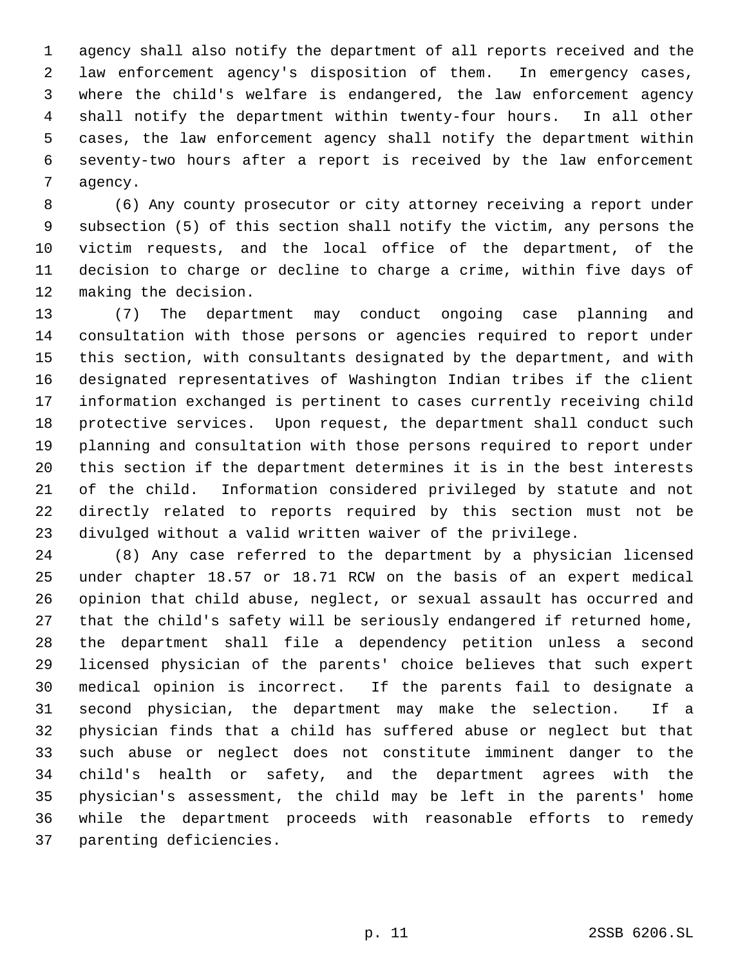agency shall also notify the department of all reports received and the law enforcement agency's disposition of them. In emergency cases, where the child's welfare is endangered, the law enforcement agency shall notify the department within twenty-four hours. In all other cases, the law enforcement agency shall notify the department within seventy-two hours after a report is received by the law enforcement agency.

 (6) Any county prosecutor or city attorney receiving a report under subsection (5) of this section shall notify the victim, any persons the victim requests, and the local office of the department, of the decision to charge or decline to charge a crime, within five days of making the decision.

 (7) The department may conduct ongoing case planning and consultation with those persons or agencies required to report under this section, with consultants designated by the department, and with designated representatives of Washington Indian tribes if the client information exchanged is pertinent to cases currently receiving child protective services. Upon request, the department shall conduct such planning and consultation with those persons required to report under this section if the department determines it is in the best interests of the child. Information considered privileged by statute and not directly related to reports required by this section must not be divulged without a valid written waiver of the privilege.

 (8) Any case referred to the department by a physician licensed under chapter 18.57 or 18.71 RCW on the basis of an expert medical opinion that child abuse, neglect, or sexual assault has occurred and that the child's safety will be seriously endangered if returned home, the department shall file a dependency petition unless a second licensed physician of the parents' choice believes that such expert medical opinion is incorrect. If the parents fail to designate a second physician, the department may make the selection. If a physician finds that a child has suffered abuse or neglect but that such abuse or neglect does not constitute imminent danger to the child's health or safety, and the department agrees with the physician's assessment, the child may be left in the parents' home while the department proceeds with reasonable efforts to remedy parenting deficiencies.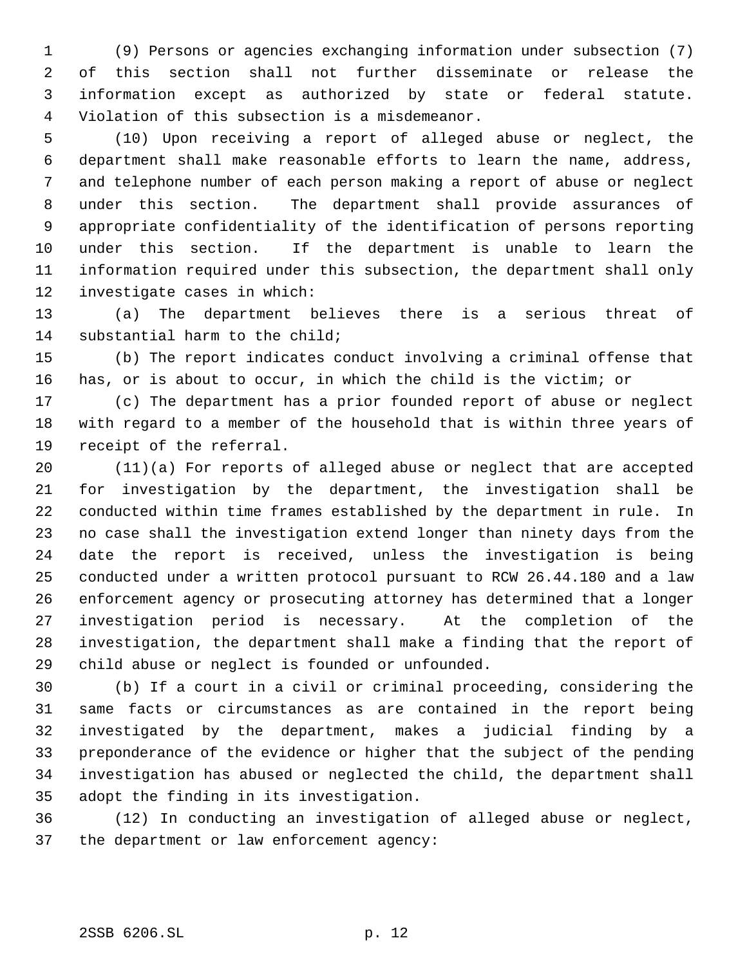(9) Persons or agencies exchanging information under subsection (7) of this section shall not further disseminate or release the information except as authorized by state or federal statute. Violation of this subsection is a misdemeanor.

 (10) Upon receiving a report of alleged abuse or neglect, the department shall make reasonable efforts to learn the name, address, and telephone number of each person making a report of abuse or neglect under this section. The department shall provide assurances of appropriate confidentiality of the identification of persons reporting under this section. If the department is unable to learn the information required under this subsection, the department shall only investigate cases in which:

 (a) The department believes there is a serious threat of substantial harm to the child;

 (b) The report indicates conduct involving a criminal offense that has, or is about to occur, in which the child is the victim; or

 (c) The department has a prior founded report of abuse or neglect with regard to a member of the household that is within three years of receipt of the referral.

 (11)(a) For reports of alleged abuse or neglect that are accepted for investigation by the department, the investigation shall be conducted within time frames established by the department in rule. In no case shall the investigation extend longer than ninety days from the date the report is received, unless the investigation is being conducted under a written protocol pursuant to RCW 26.44.180 and a law enforcement agency or prosecuting attorney has determined that a longer investigation period is necessary. At the completion of the investigation, the department shall make a finding that the report of child abuse or neglect is founded or unfounded.

 (b) If a court in a civil or criminal proceeding, considering the same facts or circumstances as are contained in the report being investigated by the department, makes a judicial finding by a preponderance of the evidence or higher that the subject of the pending investigation has abused or neglected the child, the department shall adopt the finding in its investigation.

 (12) In conducting an investigation of alleged abuse or neglect, the department or law enforcement agency: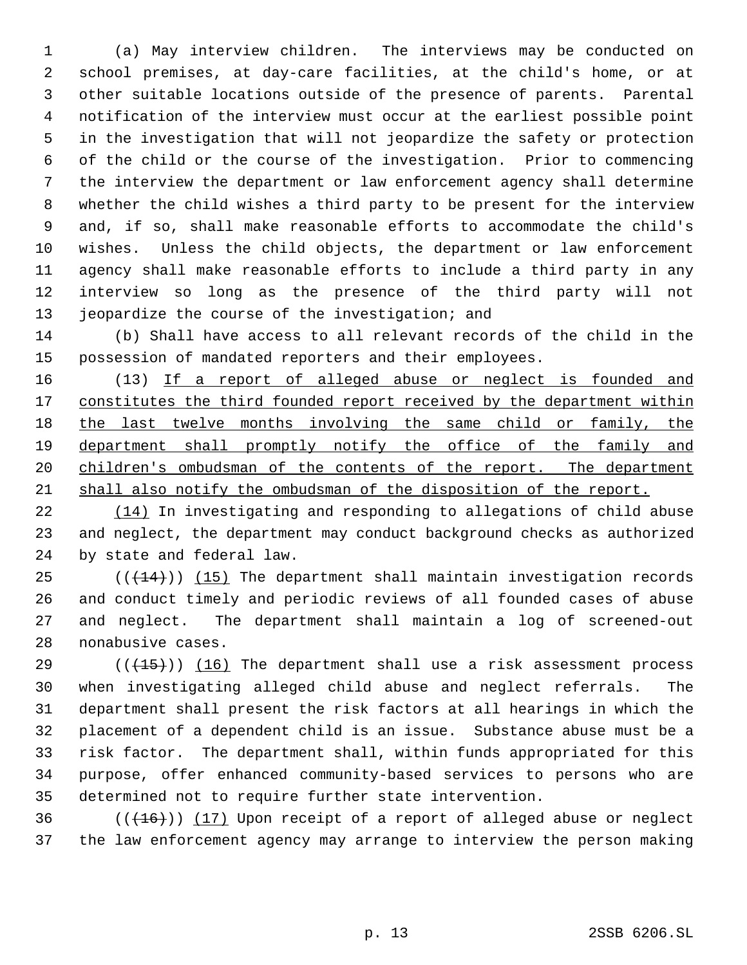(a) May interview children. The interviews may be conducted on school premises, at day-care facilities, at the child's home, or at other suitable locations outside of the presence of parents. Parental notification of the interview must occur at the earliest possible point in the investigation that will not jeopardize the safety or protection of the child or the course of the investigation. Prior to commencing the interview the department or law enforcement agency shall determine whether the child wishes a third party to be present for the interview and, if so, shall make reasonable efforts to accommodate the child's wishes. Unless the child objects, the department or law enforcement agency shall make reasonable efforts to include a third party in any interview so long as the presence of the third party will not 13 jeopardize the course of the investigation; and

 (b) Shall have access to all relevant records of the child in the possession of mandated reporters and their employees.

16 (13) If a report of alleged abuse or neglect is founded and 17 constitutes the third founded report received by the department within 18 the last twelve months involving the same child or family, the department shall promptly notify the office of the family and 20 children's ombudsman of the contents of the report. The department shall also notify the ombudsman of the disposition of the report.

 (14) In investigating and responding to allegations of child abuse and neglect, the department may conduct background checks as authorized by state and federal law.

 $((+14))$  (15) The department shall maintain investigation records and conduct timely and periodic reviews of all founded cases of abuse and neglect. The department shall maintain a log of screened-out nonabusive cases.

29 ( $(\overline{+15})$ ) (16) The department shall use a risk assessment process when investigating alleged child abuse and neglect referrals. The department shall present the risk factors at all hearings in which the placement of a dependent child is an issue. Substance abuse must be a risk factor. The department shall, within funds appropriated for this purpose, offer enhanced community-based services to persons who are determined not to require further state intervention.

36  $((+16))$   $(17)$  Upon receipt of a report of alleged abuse or neglect the law enforcement agency may arrange to interview the person making